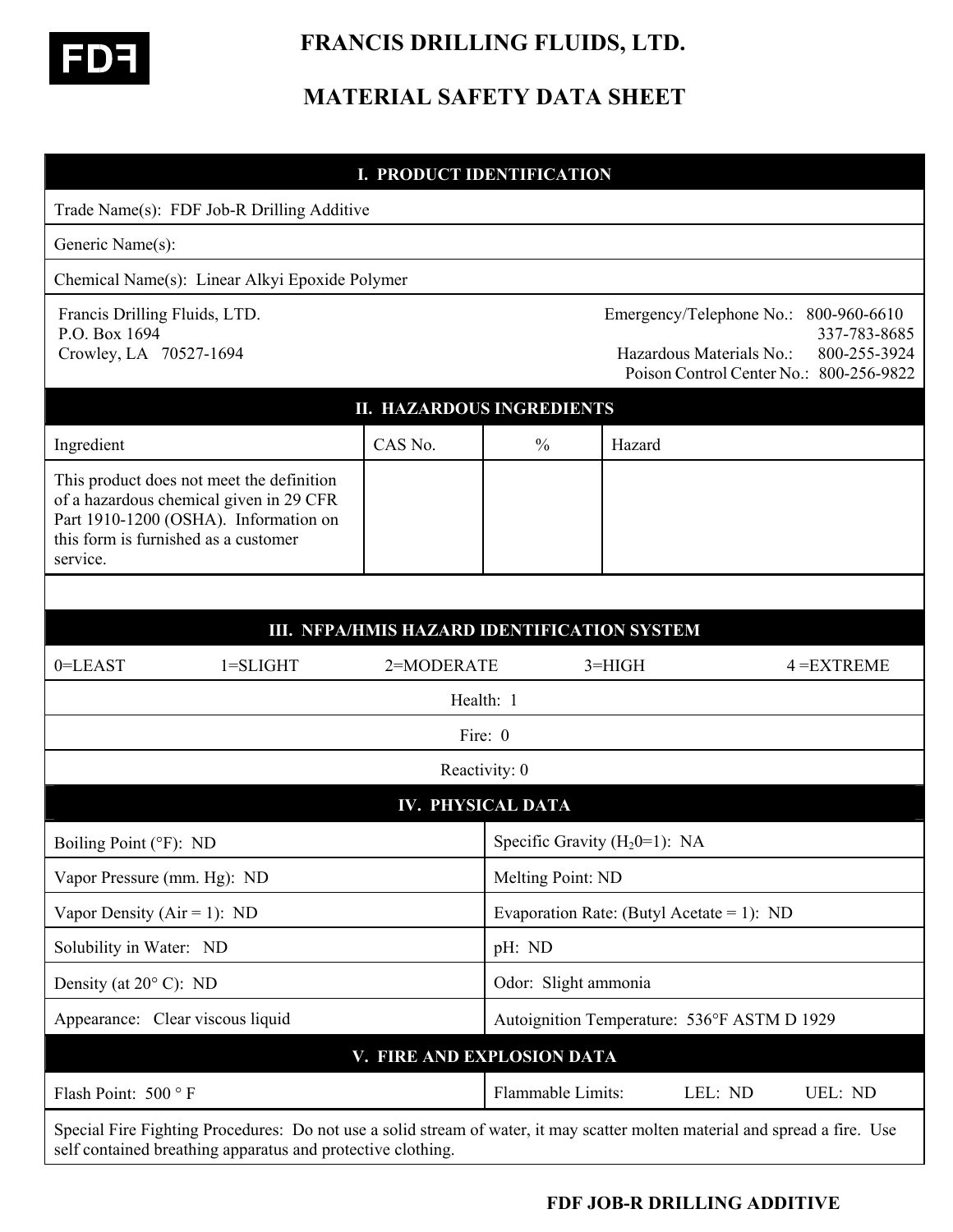

# **FRANCIS DRILLING FLUIDS, LTD.**

## **MATERIAL SAFETY DATA SHEET**

#### **I. PRODUCT IDENTIFICATION**

|                                                                          | Trade Name(s): FDF Job-R Drilling Additive                                                                                                                                                 |                                             |                   |                                             |                          |                                                                                                                  |
|--------------------------------------------------------------------------|--------------------------------------------------------------------------------------------------------------------------------------------------------------------------------------------|---------------------------------------------|-------------------|---------------------------------------------|--------------------------|------------------------------------------------------------------------------------------------------------------|
| Generic Name(s):                                                         |                                                                                                                                                                                            |                                             |                   |                                             |                          |                                                                                                                  |
|                                                                          | Chemical Name(s): Linear Alkyi Epoxide Polymer                                                                                                                                             |                                             |                   |                                             |                          |                                                                                                                  |
| Francis Drilling Fluids, LTD.<br>P.O. Box 1694<br>Crowley, LA 70527-1694 |                                                                                                                                                                                            |                                             |                   |                                             | Hazardous Materials No.: | Emergency/Telephone No.: 800-960-6610<br>337-783-8685<br>800-255-3924<br>Poison Control Center No.: 800-256-9822 |
| <b>II. HAZARDOUS INGREDIENTS</b>                                         |                                                                                                                                                                                            |                                             |                   |                                             |                          |                                                                                                                  |
| Ingredient                                                               |                                                                                                                                                                                            | CAS No.                                     | $\frac{0}{0}$     | Hazard                                      |                          |                                                                                                                  |
| this form is furnished as a customer<br>service.                         | This product does not meet the definition<br>of a hazardous chemical given in 29 CFR<br>Part 1910-1200 (OSHA). Information on                                                              |                                             |                   |                                             |                          |                                                                                                                  |
|                                                                          |                                                                                                                                                                                            | III. NFPA/HMIS HAZARD IDENTIFICATION SYSTEM |                   |                                             |                          |                                                                                                                  |
| 0=LEAST                                                                  | $1 = SLIGHT$                                                                                                                                                                               | 2=MODERATE                                  |                   | $3=HIGH$                                    |                          | $4 = EXTREME$                                                                                                    |
| Health: 1                                                                |                                                                                                                                                                                            |                                             |                   |                                             |                          |                                                                                                                  |
| Fire: 0                                                                  |                                                                                                                                                                                            |                                             |                   |                                             |                          |                                                                                                                  |
|                                                                          |                                                                                                                                                                                            |                                             | Reactivity: 0     |                                             |                          |                                                                                                                  |
| <b>IV. PHYSICAL DATA</b>                                                 |                                                                                                                                                                                            |                                             |                   |                                             |                          |                                                                                                                  |
|                                                                          | Boiling Point (°F): ND                                                                                                                                                                     |                                             |                   | Specific Gravity $(H_2 0=1)$ : NA           |                          |                                                                                                                  |
| Vapor Pressure (mm. Hg): ND                                              |                                                                                                                                                                                            |                                             |                   | Melting Point: ND                           |                          |                                                                                                                  |
| Vapor Density ( $Air = 1$ ): ND                                          |                                                                                                                                                                                            |                                             |                   | Evaporation Rate: (Butyl Acetate = 1): ND   |                          |                                                                                                                  |
| Solubility in Water: ND                                                  |                                                                                                                                                                                            |                                             |                   | pH: ND                                      |                          |                                                                                                                  |
| Density (at $20^{\circ}$ C): ND                                          |                                                                                                                                                                                            |                                             |                   | Odor: Slight ammonia                        |                          |                                                                                                                  |
| Appearance: Clear viscous liquid                                         |                                                                                                                                                                                            |                                             |                   | Autoignition Temperature: 536°F ASTM D 1929 |                          |                                                                                                                  |
|                                                                          |                                                                                                                                                                                            | V. FIRE AND EXPLOSION DATA                  |                   |                                             |                          |                                                                                                                  |
| Flash Point: 500 °F                                                      |                                                                                                                                                                                            |                                             | Flammable Limits: |                                             | LEL: ND                  | UEL: ND                                                                                                          |
|                                                                          | Special Fire Fighting Procedures: Do not use a solid stream of water, it may scatter molten material and spread a fire. Use<br>self contained breathing apparatus and protective clothing. |                                             |                   |                                             |                          |                                                                                                                  |

### **FDF JOB-R DRILLING ADDITIVE**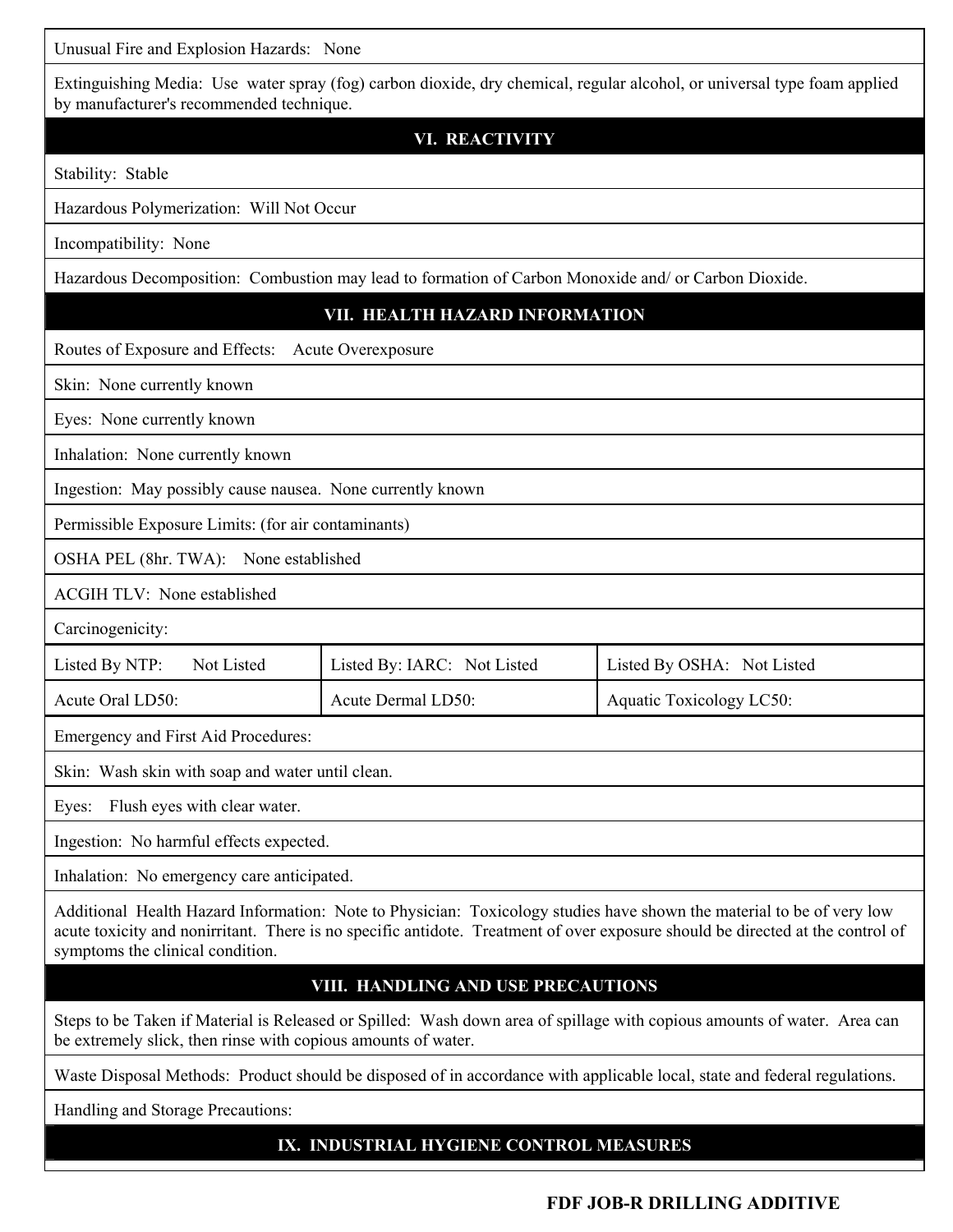Unusual Fire and Explosion Hazards: None

| Onusual Fire and Explosion Hazards. Trone                                                                                                                                                                                                               |                             |                            |  |  |  |  |
|---------------------------------------------------------------------------------------------------------------------------------------------------------------------------------------------------------------------------------------------------------|-----------------------------|----------------------------|--|--|--|--|
| Extinguishing Media: Use water spray (fog) carbon dioxide, dry chemical, regular alcohol, or universal type foam applied<br>by manufacturer's recommended technique.                                                                                    |                             |                            |  |  |  |  |
|                                                                                                                                                                                                                                                         | <b>VI. REACTIVITY</b>       |                            |  |  |  |  |
| Stability: Stable                                                                                                                                                                                                                                       |                             |                            |  |  |  |  |
| Hazardous Polymerization: Will Not Occur                                                                                                                                                                                                                |                             |                            |  |  |  |  |
| Incompatibility: None                                                                                                                                                                                                                                   |                             |                            |  |  |  |  |
| Hazardous Decomposition: Combustion may lead to formation of Carbon Monoxide and/ or Carbon Dioxide.                                                                                                                                                    |                             |                            |  |  |  |  |
| VII. HEALTH HAZARD INFORMATION                                                                                                                                                                                                                          |                             |                            |  |  |  |  |
| Routes of Exposure and Effects:<br>Acute Overexposure                                                                                                                                                                                                   |                             |                            |  |  |  |  |
| Skin: None currently known                                                                                                                                                                                                                              |                             |                            |  |  |  |  |
| Eyes: None currently known                                                                                                                                                                                                                              |                             |                            |  |  |  |  |
| Inhalation: None currently known                                                                                                                                                                                                                        |                             |                            |  |  |  |  |
| Ingestion: May possibly cause nausea. None currently known                                                                                                                                                                                              |                             |                            |  |  |  |  |
| Permissible Exposure Limits: (for air contaminants)                                                                                                                                                                                                     |                             |                            |  |  |  |  |
| OSHA PEL (8hr. TWA): None established                                                                                                                                                                                                                   |                             |                            |  |  |  |  |
| <b>ACGIH TLV: None established</b>                                                                                                                                                                                                                      |                             |                            |  |  |  |  |
| Carcinogenicity:                                                                                                                                                                                                                                        |                             |                            |  |  |  |  |
| Listed By NTP:<br>Not Listed                                                                                                                                                                                                                            | Listed By: IARC: Not Listed | Listed By OSHA: Not Listed |  |  |  |  |
| Acute Oral LD50:                                                                                                                                                                                                                                        | Acute Dermal LD50:          | Aquatic Toxicology LC50:   |  |  |  |  |
| Emergency and First Aid Procedures:                                                                                                                                                                                                                     |                             |                            |  |  |  |  |
| Skin: Wash skin with soap and water until clean.                                                                                                                                                                                                        |                             |                            |  |  |  |  |
| Flush eyes with clear water.<br>Eyes:                                                                                                                                                                                                                   |                             |                            |  |  |  |  |
| Ingestion: No harmful effects expected.                                                                                                                                                                                                                 |                             |                            |  |  |  |  |
| Inhalation: No emergency care anticipated.                                                                                                                                                                                                              |                             |                            |  |  |  |  |
| Additional Health Hazard Information: Note to Physician: Toxicology studies have shown the material to be of very low<br>acute toxicity and nonirritant. There is no specific antidote. Treatment of over exposure should be directed at the control of |                             |                            |  |  |  |  |

symptoms the clinical condition.

#### **VIII. HANDLING AND USE PRECAUTIONS**

Steps to be Taken if Material is Released or Spilled: Wash down area of spillage with copious amounts of water. Area can be extremely slick, then rinse with copious amounts of water.

Waste Disposal Methods: Product should be disposed of in accordance with applicable local, state and federal regulations.

Handling and Storage Precautions:

### **IX. INDUSTRIAL HYGIENE CONTROL MEASURES**